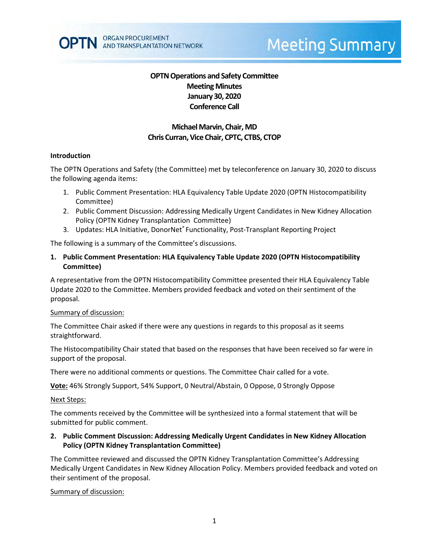# **Meeting Summary**

# **OPTN Operations and Safety Committee Meeting Minutes January 30, 2020 Conference Call**

# **Michael Marvin, Chair, MD Chris Curran, Vice Chair, CPTC, CTBS, CTOP**

### **Introduction**

The OPTN Operations and Safety (the Committee) met by teleconference on January 30, 2020 to discuss the following agenda items:

- 1. Public Comment Presentation: HLA Equivalency Table Update 2020 (OPTN Histocompatibility Committee)
- 2. Public Comment Discussion: Addressing Medically Urgent Candidates in New Kidney Allocation Policy (OPTN Kidney Transplantation Committee)
- 3. Updates: HLA Initiative, DonorNet® Functionality, Post-Transplant Reporting Project

The following is a summary of the Committee's discussions.

**1. Public Comment Presentation: HLA Equivalency Table Update 2020 (OPTN Histocompatibility Committee)**

A representative from the OPTN Histocompatibility Committee presented their HLA Equivalency Table Update 2020 to the Committee. Members provided feedback and voted on their sentiment of the proposal.

#### Summary of discussion:

The Committee Chair asked if there were any questions in regards to this proposal as it seems straightforward.

The Histocompatibility Chair stated that based on the responses that have been received so far were in support of the proposal.

There were no additional comments or questions. The Committee Chair called for a vote.

**Vote:** 46% Strongly Support, 54% Support, 0 Neutral/Abstain, 0 Oppose, 0 Strongly Oppose

#### Next Steps:

The comments received by the Committee will be synthesized into a formal statement that will be submitted for public comment.

### **2. Public Comment Discussion: Addressing Medically Urgent Candidates in New Kidney Allocation Policy (OPTN Kidney Transplantation Committee)**

The Committee reviewed and discussed the OPTN Kidney Transplantation Committee's Addressing Medically Urgent Candidates in New Kidney Allocation Policy. Members provided feedback and voted on their sentiment of the proposal.

### Summary of discussion: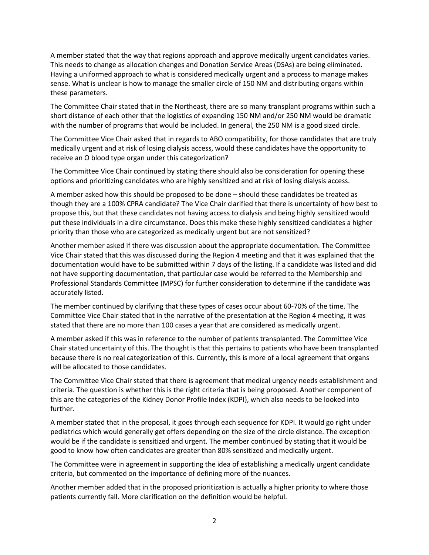A member stated that the way that regions approach and approve medically urgent candidates varies. This needs to change as allocation changes and Donation Service Areas (DSAs) are being eliminated. Having a uniformed approach to what is considered medically urgent and a process to manage makes sense. What is unclear is how to manage the smaller circle of 150 NM and distributing organs within these parameters.

The Committee Chair stated that in the Northeast, there are so many transplant programs within such a short distance of each other that the logistics of expanding 150 NM and/or 250 NM would be dramatic with the number of programs that would be included. In general, the 250 NM is a good sized circle.

The Committee Vice Chair asked that in regards to ABO compatibility, for those candidates that are truly medically urgent and at risk of losing dialysis access, would these candidates have the opportunity to receive an O blood type organ under this categorization?

The Committee Vice Chair continued by stating there should also be consideration for opening these options and prioritizing candidates who are highly sensitized and at risk of losing dialysis access.

A member asked how this should be proposed to be done – should these candidates be treated as though they are a 100% CPRA candidate? The Vice Chair clarified that there is uncertainty of how best to propose this, but that these candidates not having access to dialysis and being highly sensitized would put these individuals in a dire circumstance. Does this make these highly sensitized candidates a higher priority than those who are categorized as medically urgent but are not sensitized?

Another member asked if there was discussion about the appropriate documentation. The Committee Vice Chair stated that this was discussed during the Region 4 meeting and that it was explained that the documentation would have to be submitted within 7 days of the listing. If a candidate was listed and did not have supporting documentation, that particular case would be referred to the Membership and Professional Standards Committee (MPSC) for further consideration to determine if the candidate was accurately listed.

The member continued by clarifying that these types of cases occur about 60-70% of the time. The Committee Vice Chair stated that in the narrative of the presentation at the Region 4 meeting, it was stated that there are no more than 100 cases a year that are considered as medically urgent.

A member asked if this was in reference to the number of patients transplanted. The Committee Vice Chair stated uncertainty of this. The thought is that this pertains to patients who have been transplanted because there is no real categorization of this. Currently, this is more of a local agreement that organs will be allocated to those candidates.

The Committee Vice Chair stated that there is agreement that medical urgency needs establishment and criteria. The question is whether this is the right criteria that is being proposed. Another component of this are the categories of the Kidney Donor Profile Index (KDPI), which also needs to be looked into further.

A member stated that in the proposal, it goes through each sequence for KDPI. It would go right under pediatrics which would generally get offers depending on the size of the circle distance. The exception would be if the candidate is sensitized and urgent. The member continued by stating that it would be good to know how often candidates are greater than 80% sensitized and medically urgent.

The Committee were in agreement in supporting the idea of establishing a medically urgent candidate criteria, but commented on the importance of defining more of the nuances.

Another member added that in the proposed prioritization is actually a higher priority to where those patients currently fall. More clarification on the definition would be helpful.